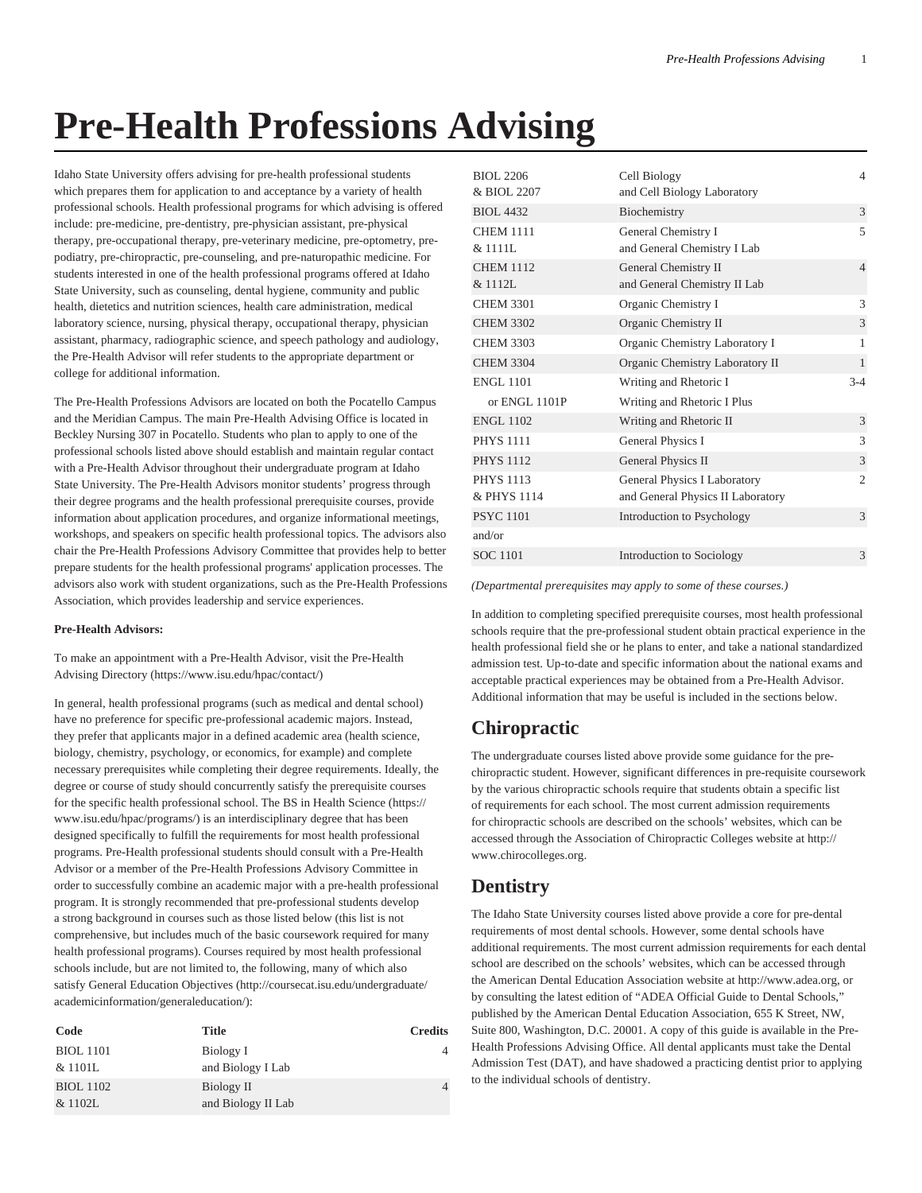# **Pre-Health Professions Advising**

Idaho State University offers advising for pre-health professional students which prepares them for application to and acceptance by a variety of health professional schools. Health professional programs for which advising is offered include: pre-medicine, pre-dentistry, pre-physician assistant, pre-physical therapy, pre-occupational therapy, pre-veterinary medicine, pre-optometry, prepodiatry, pre-chiropractic, pre-counseling, and pre-naturopathic medicine. For students interested in one of the health professional programs offered at Idaho State University, such as counseling, dental hygiene, community and public health, dietetics and nutrition sciences, health care administration, medical laboratory science, nursing, physical therapy, occupational therapy, physician assistant, pharmacy, radiographic science, and speech pathology and audiology, the Pre-Health Advisor will refer students to the appropriate department or college for additional information.

The Pre-Health Professions Advisors are located on both the Pocatello Campus and the Meridian Campus. The main Pre-Health Advising Office is located in Beckley Nursing 307 in Pocatello. Students who plan to apply to one of the professional schools listed above should establish and maintain regular contact with a Pre-Health Advisor throughout their undergraduate program at Idaho State University. The Pre-Health Advisors monitor students' progress through their degree programs and the health professional prerequisite courses, provide information about application procedures, and organize informational meetings, workshops, and speakers on specific health professional topics. The advisors also chair the Pre-Health Professions Advisory Committee that provides help to better prepare students for the health professional programs' application processes. The advisors also work with student organizations, such as the Pre-Health Professions Association, which provides leadership and service experiences.

### **Pre-Health Advisors:**

To make an appointment with a Pre-Health Advisor, visit the [Pre-Health](https://www.isu.edu/hpac/contact/) [Advising Directory](https://www.isu.edu/hpac/contact/) ([https://www.isu.edu/hpac/contact/\)](https://www.isu.edu/hpac/contact/)

In general, health professional programs (such as medical and dental school) have no preference for specific pre-professional academic majors. Instead, they prefer that applicants major in a defined academic area (health science, biology, chemistry, psychology, or economics, for example) and complete necessary prerequisites while completing their degree requirements. Ideally, the degree or course of study should concurrently satisfy the prerequisite courses for the specific health professional school. The [BS in Health Science](https://www.isu.edu/hpac/programs/) ([https://](https://www.isu.edu/hpac/programs/) [www.isu.edu/hpac/programs/](https://www.isu.edu/hpac/programs/)) is an interdisciplinary degree that has been designed specifically to fulfill the requirements for most health professional programs. Pre-Health professional students should consult with a Pre-Health Advisor or a member of the Pre-Health Professions Advisory Committee in order to successfully combine an academic major with a pre-health professional program. It is strongly recommended that pre-professional students develop a strong background in courses such as those listed below (this list is not comprehensive, but includes much of the basic coursework required for many health professional programs). Courses required by most health professional schools include, but are not limited to, the following, many of which also satisfy [General Education Objectives](http://coursecat.isu.edu/undergraduate/academicinformation/generaleducation/) ([http://coursecat.isu.edu/undergraduate/](http://coursecat.isu.edu/undergraduate/academicinformation/generaleducation/) [academicinformation/generaleducation/](http://coursecat.isu.edu/undergraduate/academicinformation/generaleducation/)):

| Code                        | Title                            | <b>Credits</b> |
|-----------------------------|----------------------------------|----------------|
| <b>BIOL</b> 1101<br>& 1101L | Biology I<br>and Biology I Lab   |                |
| <b>BIOL</b> 1102<br>& 1102L | Biology II<br>and Biology II Lab |                |

| BIOL 2206        |                                   | 4                        |
|------------------|-----------------------------------|--------------------------|
| & BIOL 2207      | Cell Biology                      |                          |
|                  | and Cell Biology Laboratory       |                          |
| <b>BIOL 4432</b> | Biochemistry                      | 3                        |
| <b>CHEM 1111</b> | General Chemistry I               | $\overline{\phantom{0}}$ |
| & 1111L          | and General Chemistry I Lab       |                          |
| <b>CHEM 1112</b> | General Chemistry II              | $\overline{4}$           |
| & 1112L          | and General Chemistry II Lab      |                          |
| <b>CHEM 3301</b> | Organic Chemistry I               | 3                        |
| <b>CHEM 3302</b> | Organic Chemistry II              | 3                        |
| <b>CHEM 3303</b> | Organic Chemistry Laboratory I    | 1                        |
| <b>CHEM 3304</b> | Organic Chemistry Laboratory II   | $\mathbf{1}$             |
| <b>ENGL 1101</b> | Writing and Rhetoric I            | $3 - 4$                  |
| or ENGL 1101P    | Writing and Rhetoric I Plus       |                          |
| <b>ENGL 1102</b> | Writing and Rhetoric II           | 3                        |
| <b>PHYS 1111</b> | General Physics I                 | 3                        |
| <b>PHYS 1112</b> | General Physics II                | 3                        |
| <b>PHYS 1113</b> | General Physics I Laboratory      | $\overline{c}$           |
| & PHYS 1114      | and General Physics II Laboratory |                          |
| <b>PSYC 1101</b> | Introduction to Psychology        | 3                        |
| and/or           |                                   |                          |
| <b>SOC 1101</b>  | Introduction to Sociology         | 3                        |

*(Departmental prerequisites may apply to some of these courses.)*

In addition to completing specified prerequisite courses, most health professional schools require that the pre-professional student obtain practical experience in the health professional field she or he plans to enter, and take a national standardized admission test. Up-to-date and specific information about the national exams and acceptable practical experiences may be obtained from a Pre-Health Advisor. Additional information that may be useful is included in the sections below.

## **Chiropractic**

The undergraduate courses listed above provide some guidance for the prechiropractic student. However, significant differences in pre-requisite coursework by the various chiropractic schools require that students obtain a specific list of requirements for each school. The most current admission requirements for chiropractic schools are described on the schools' websites, which can be accessed through the Association of Chiropractic Colleges website at http:// www.chirocolleges.org.

### **Dentistry**

The Idaho State University courses listed above provide a core for pre-dental requirements of most dental schools. However, some dental schools have additional requirements. The most current admission requirements for each dental school are described on the schools' websites, which can be accessed through the American Dental Education Association website at http://www.adea.org, or by consulting the latest edition of "ADEA Official Guide to Dental Schools," published by the American Dental Education Association, 655 K Street, NW, Suite 800, Washington, D.C. 20001. A copy of this guide is available in the Pre-Health Professions Advising Office. All dental applicants must take the Dental Admission Test (DAT), and have shadowed a practicing dentist prior to applying to the individual schools of dentistry.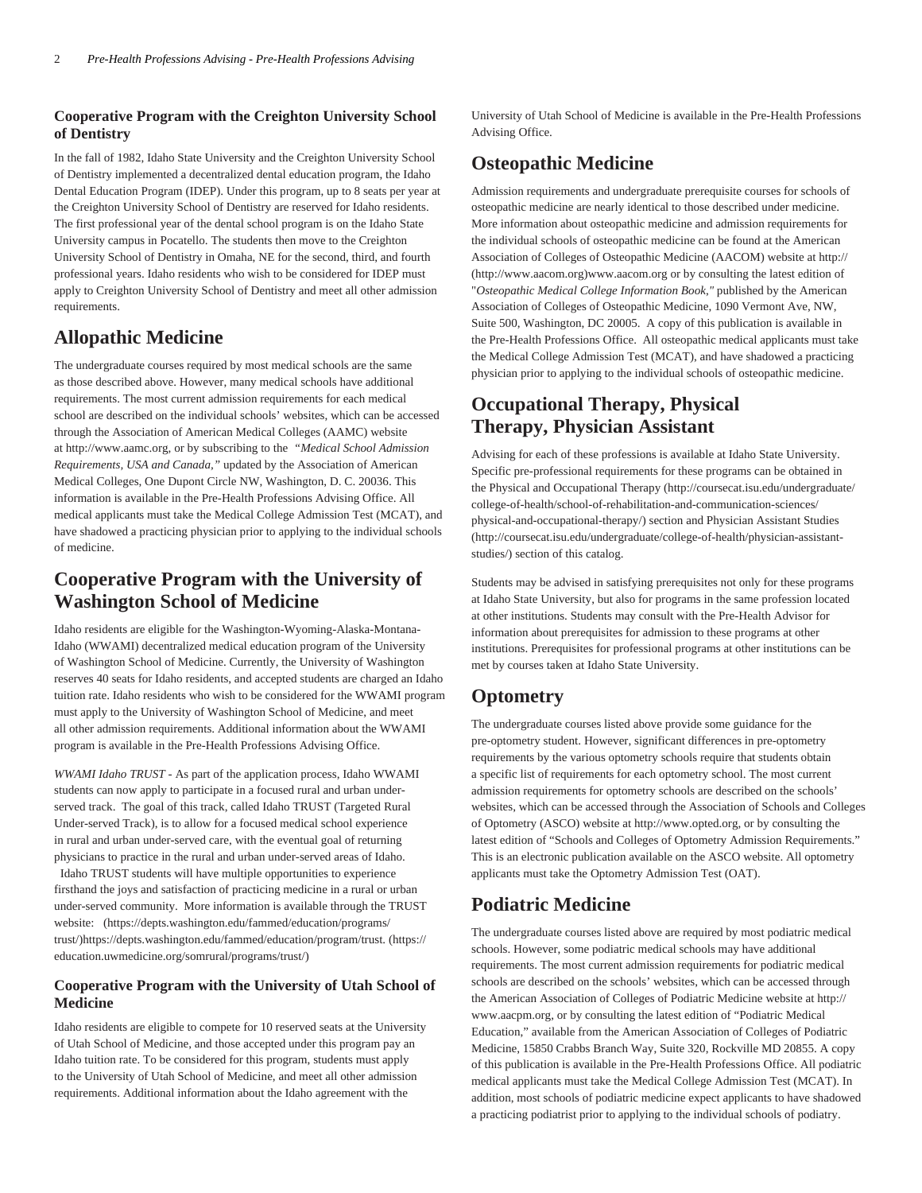### **Cooperative Program with the Creighton University School of Dentistry**

In the fall of 1982, Idaho State University and the Creighton University School of Dentistry implemented a decentralized dental education program, the Idaho Dental Education Program (IDEP). Under this program, up to 8 seats per year at the Creighton University School of Dentistry are reserved for Idaho residents. The first professional year of the dental school program is on the Idaho State University campus in Pocatello. The students then move to the Creighton University School of Dentistry in Omaha, NE for the second, third, and fourth professional years. Idaho residents who wish to be considered for IDEP must apply to Creighton University School of Dentistry and meet all other admission requirements.

### **Allopathic Medicine**

The undergraduate courses required by most medical schools are the same as those described above. However, many medical schools have additional requirements. The most current admission requirements for each medical school are described on the individual schools' websites, which can be accessed through the Association of American Medical Colleges (AAMC) website at http://www.aamc.org, or by subscribing to the *"Medical School Admission Requirements, USA and Canada,"* updated by the Association of American Medical Colleges, One Dupont Circle NW, Washington, D. C. 20036. This information is available in the Pre-Health Professions Advising Office. All medical applicants must take the Medical College Admission Test (MCAT), and have shadowed a practicing physician prior to applying to the individual schools of medicine.

### **Cooperative Program with the University of Washington School of Medicine**

Idaho residents are eligible for the Washington-Wyoming-Alaska-Montana-Idaho (WWAMI) decentralized medical education program of the University of Washington School of Medicine. Currently, the University of Washington reserves 40 seats for Idaho residents, and accepted students are charged an Idaho tuition rate. Idaho residents who wish to be considered for the WWAMI program must apply to the University of Washington School of Medicine, and meet all other admission requirements. Additional information about the WWAMI program is available in the Pre-Health Professions Advising Office.

*WWAMI Idaho TRUST -* As part of the application process, Idaho WWAMI students can now apply to participate in a focused rural and urban underserved track. The goal of this track, called Idaho TRUST (Targeted Rural Under-served Track), is to allow for a focused medical school experience in rural and urban under-served care, with the eventual goal of returning physicians to practice in the rural and urban under-served areas of Idaho.

 Idaho TRUST students will have multiple opportunities to experience firsthand the joys and satisfaction of practicing medicine in a rural or urban under-served community. More information is available through the TRUST website: [\(https://depts.washington.edu/fammed/education/programs/](https://depts.washington.edu/fammed/education/programs/trust/) [trust/](https://depts.washington.edu/fammed/education/programs/trust/)[\)https://depts.washington.edu/fammed/education/program/trust.](https://education.uwmedicine.org/somrural/programs/trust/) ([https://](https://education.uwmedicine.org/somrural/programs/trust/) [education.uwmedicine.org/somrural/programs/trust/\)](https://education.uwmedicine.org/somrural/programs/trust/)

### **Cooperative Program with the University of Utah School of Medicine**

Idaho residents are eligible to compete for 10 reserved seats at the University of Utah School of Medicine, and those accepted under this program pay an Idaho tuition rate. To be considered for this program, students must apply to the University of Utah School of Medicine, and meet all other admission requirements. Additional information about the Idaho agreement with the

University of Utah School of Medicine is available in the Pre-Health Professions Advising Office.

## **Osteopathic Medicine**

Admission requirements and undergraduate prerequisite courses for schools of osteopathic medicine are nearly identical to those described under medicine. More information about osteopathic medicine and admission requirements for the individual schools of osteopathic medicine can be found at the American Association of Colleges of Osteopathic Medicine (AACOM) website at [http://](http://www.aacom.org) ([http://www.aacom.org\)](http://www.aacom.org)www.aacom.org or by consulting the latest edition of "*Osteopathic Medical College Information Book*,*"* published by the American Association of Colleges of Osteopathic Medicine, 1090 Vermont Ave, NW, Suite 500, Washington, DC 20005. A copy of this publication is available in the Pre-Health Professions Office. All osteopathic medical applicants must take the Medical College Admission Test (MCAT), and have shadowed a practicing physician prior to applying to the individual schools of osteopathic medicine.

# **Occupational Therapy, Physical Therapy, Physician Assistant**

Advising for each of these professions is available at Idaho State University. Specific pre-professional requirements for these programs can be obtained in the [Physical and Occupational Therapy](http://coursecat.isu.edu/undergraduate/college-of-health/school-of-rehabilitation-and-communication-sciences/physical-and-occupational-therapy/) ([http://coursecat.isu.edu/undergraduate/](http://coursecat.isu.edu/undergraduate/college-of-health/school-of-rehabilitation-and-communication-sciences/physical-and-occupational-therapy/) [college-of-health/school-of-rehabilitation-and-communication-sciences/](http://coursecat.isu.edu/undergraduate/college-of-health/school-of-rehabilitation-and-communication-sciences/physical-and-occupational-therapy/) [physical-and-occupational-therapy/\)](http://coursecat.isu.edu/undergraduate/college-of-health/school-of-rehabilitation-and-communication-sciences/physical-and-occupational-therapy/) section and [Physician Assistant Studies](http://coursecat.isu.edu/undergraduate/college-of-health/physician-assistant-studies/) ([http://coursecat.isu.edu/undergraduate/college-of-health/physician-assistant](http://coursecat.isu.edu/undergraduate/college-of-health/physician-assistant-studies/)[studies/\)](http://coursecat.isu.edu/undergraduate/college-of-health/physician-assistant-studies/) section of this catalog.

Students may be advised in satisfying prerequisites not only for these programs at Idaho State University, but also for programs in the same profession located at other institutions. Students may consult with the Pre-Health Advisor for information about prerequisites for admission to these programs at other institutions. Prerequisites for professional programs at other institutions can be met by courses taken at Idaho State University.

## **Optometry**

The undergraduate courses listed above provide some guidance for the pre-optometry student. However, significant differences in pre-optometry requirements by the various optometry schools require that students obtain a specific list of requirements for each optometry school. The most current admission requirements for optometry schools are described on the schools' websites, which can be accessed through the Association of Schools and Colleges of Optometry (ASCO) website at http://www.opted.org, or by consulting the latest edition of "Schools and Colleges of Optometry Admission Requirements." This is an electronic publication available on the ASCO website. All optometry applicants must take the Optometry Admission Test (OAT).

### **Podiatric Medicine**

The undergraduate courses listed above are required by most podiatric medical schools. However, some podiatric medical schools may have additional requirements. The most current admission requirements for podiatric medical schools are described on the schools' websites, which can be accessed through the American Association of Colleges of Podiatric Medicine website at http:// www.aacpm.org, or by consulting the latest edition of "Podiatric Medical Education," available from the American Association of Colleges of Podiatric Medicine, 15850 Crabbs Branch Way, Suite 320, Rockville MD 20855. A copy of this publication is available in the Pre-Health Professions Office. All podiatric medical applicants must take the Medical College Admission Test (MCAT). In addition, most schools of podiatric medicine expect applicants to have shadowed a practicing podiatrist prior to applying to the individual schools of podiatry.